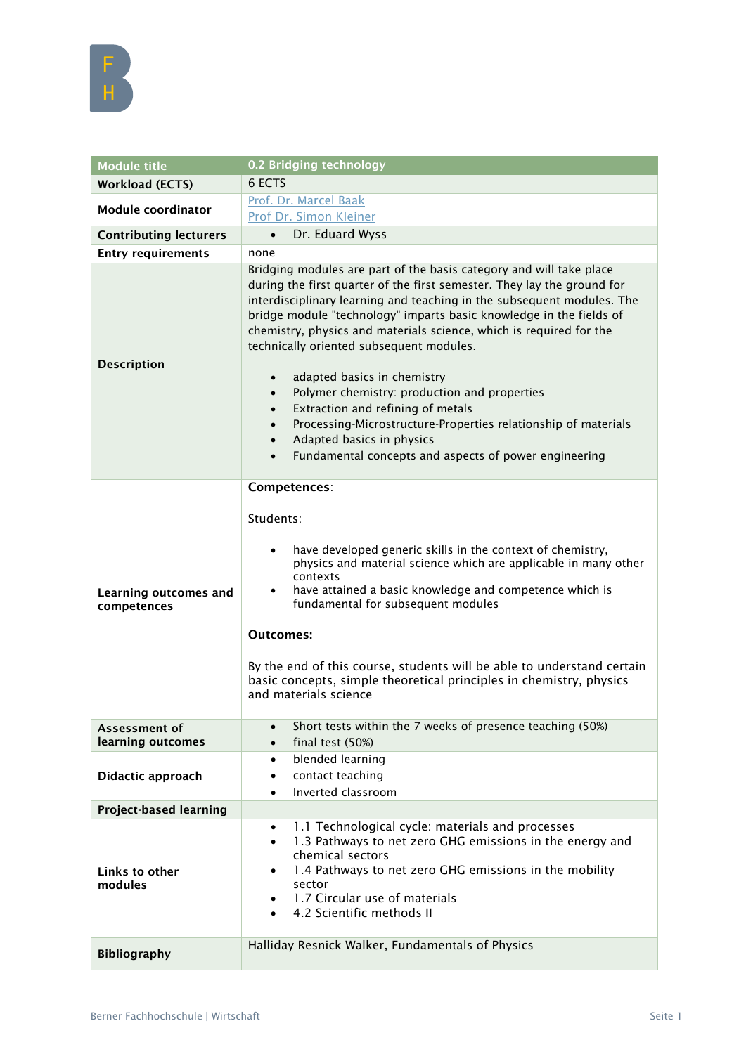

| <b>Module title</b>                         | 0.2 Bridging technology                                                                                                                                                                                                                                                                                                                                                                                                                                                                                                                                                                                                                                                                                                                                                      |
|---------------------------------------------|------------------------------------------------------------------------------------------------------------------------------------------------------------------------------------------------------------------------------------------------------------------------------------------------------------------------------------------------------------------------------------------------------------------------------------------------------------------------------------------------------------------------------------------------------------------------------------------------------------------------------------------------------------------------------------------------------------------------------------------------------------------------------|
| Workload (ECTS)                             | 6 ECTS                                                                                                                                                                                                                                                                                                                                                                                                                                                                                                                                                                                                                                                                                                                                                                       |
| <b>Module coordinator</b>                   | Prof. Dr. Marcel Baak                                                                                                                                                                                                                                                                                                                                                                                                                                                                                                                                                                                                                                                                                                                                                        |
|                                             | Prof Dr. Simon Kleiner                                                                                                                                                                                                                                                                                                                                                                                                                                                                                                                                                                                                                                                                                                                                                       |
| <b>Contributing lecturers</b>               | Dr. Eduard Wyss<br>$\bullet$                                                                                                                                                                                                                                                                                                                                                                                                                                                                                                                                                                                                                                                                                                                                                 |
| <b>Entry requirements</b>                   | none                                                                                                                                                                                                                                                                                                                                                                                                                                                                                                                                                                                                                                                                                                                                                                         |
| <b>Description</b>                          | Bridging modules are part of the basis category and will take place<br>during the first quarter of the first semester. They lay the ground for<br>interdisciplinary learning and teaching in the subsequent modules. The<br>bridge module "technology" imparts basic knowledge in the fields of<br>chemistry, physics and materials science, which is required for the<br>technically oriented subsequent modules.<br>adapted basics in chemistry<br>$\bullet$<br>Polymer chemistry: production and properties<br>$\bullet$<br>Extraction and refining of metals<br>$\bullet$<br>Processing-Microstructure-Properties relationship of materials<br>$\bullet$<br>Adapted basics in physics<br>$\bullet$<br>Fundamental concepts and aspects of power engineering<br>$\bullet$ |
| <b>Learning outcomes and</b><br>competences | Competences:<br>Students:<br>have developed generic skills in the context of chemistry,<br>$\bullet$<br>physics and material science which are applicable in many other<br>contexts<br>have attained a basic knowledge and competence which is<br>$\bullet$<br>fundamental for subsequent modules<br><b>Outcomes:</b><br>By the end of this course, students will be able to understand certain<br>basic concepts, simple theoretical principles in chemistry, physics<br>and materials science                                                                                                                                                                                                                                                                              |
| Assessment of<br>learning outcomes          | Short tests within the 7 weeks of presence teaching (50%)<br>$\bullet$<br>final test (50%)<br>$\bullet$                                                                                                                                                                                                                                                                                                                                                                                                                                                                                                                                                                                                                                                                      |
| Didactic approach                           | blended learning<br>$\bullet$<br>contact teaching<br>$\bullet$<br>Inverted classroom<br>$\bullet$                                                                                                                                                                                                                                                                                                                                                                                                                                                                                                                                                                                                                                                                            |
| <b>Project-based learning</b>               |                                                                                                                                                                                                                                                                                                                                                                                                                                                                                                                                                                                                                                                                                                                                                                              |
| Links to other<br>modules                   | 1.1 Technological cycle: materials and processes<br>$\bullet$<br>1.3 Pathways to net zero GHG emissions in the energy and<br>$\bullet$<br>chemical sectors<br>1.4 Pathways to net zero GHG emissions in the mobility<br>$\bullet$<br>sector<br>1.7 Circular use of materials<br>$\bullet$<br>4.2 Scientific methods II<br>$\bullet$                                                                                                                                                                                                                                                                                                                                                                                                                                          |
| <b>Bibliography</b>                         | Halliday Resnick Walker, Fundamentals of Physics                                                                                                                                                                                                                                                                                                                                                                                                                                                                                                                                                                                                                                                                                                                             |